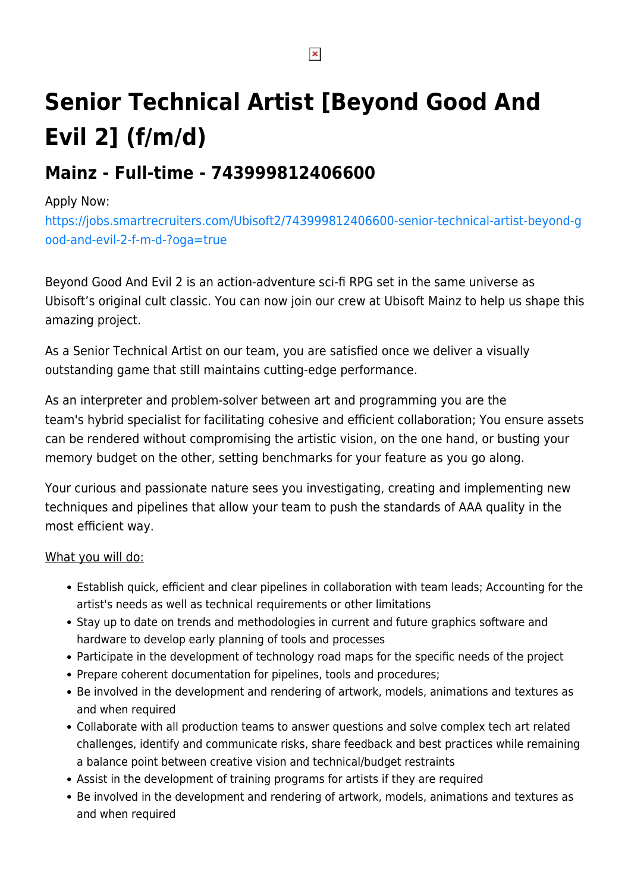# **Senior Technical Artist [Beyond Good And Evil 2] (f/m/d)**

# **Mainz - Full-time - 743999812406600**

## Apply Now:

[https://jobs.smartrecruiters.com/Ubisoft2/743999812406600-senior-technical-artist-beyond-g](https://jobs.smartrecruiters.com/Ubisoft2/743999812406600-senior-technical-artist-beyond-good-and-evil-2-f-m-d-?oga=true) [ood-and-evil-2-f-m-d-?oga=true](https://jobs.smartrecruiters.com/Ubisoft2/743999812406600-senior-technical-artist-beyond-good-and-evil-2-f-m-d-?oga=true)

Beyond Good And Evil 2 is an action-adventure sci-fi RPG set in the same universe as Ubisoft's original cult classic. You can now join our crew at Ubisoft Mainz to help us shape this amazing project.

As a Senior Technical Artist on our team, you are satisfied once we deliver a visually outstanding game that still maintains cutting-edge performance.

As an interpreter and problem-solver between art and programming you are the team's hybrid specialist for facilitating cohesive and efficient collaboration; You ensure assets can be rendered without compromising the artistic vision, on the one hand, or busting your memory budget on the other, setting benchmarks for your feature as you go along.

Your curious and passionate nature sees you investigating, creating and implementing new techniques and pipelines that allow your team to push the standards of AAA quality in the most efficient way.

### What you will do:

- Establish quick, efficient and clear pipelines in collaboration with team leads; Accounting for the artist's needs as well as technical requirements or other limitations
- Stay up to date on trends and methodologies in current and future graphics software and hardware to develop early planning of tools and processes
- Participate in the development of technology road maps for the specific needs of the project
- Prepare coherent documentation for pipelines, tools and procedures;
- Be involved in the development and rendering of artwork, models, animations and textures as and when required
- Collaborate with all production teams to answer questions and solve complex tech art related challenges, identify and communicate risks, share feedback and best practices while remaining a balance point between creative vision and technical/budget restraints
- Assist in the development of training programs for artists if they are required
- Be involved in the development and rendering of artwork, models, animations and textures as and when required

 $\pmb{\times}$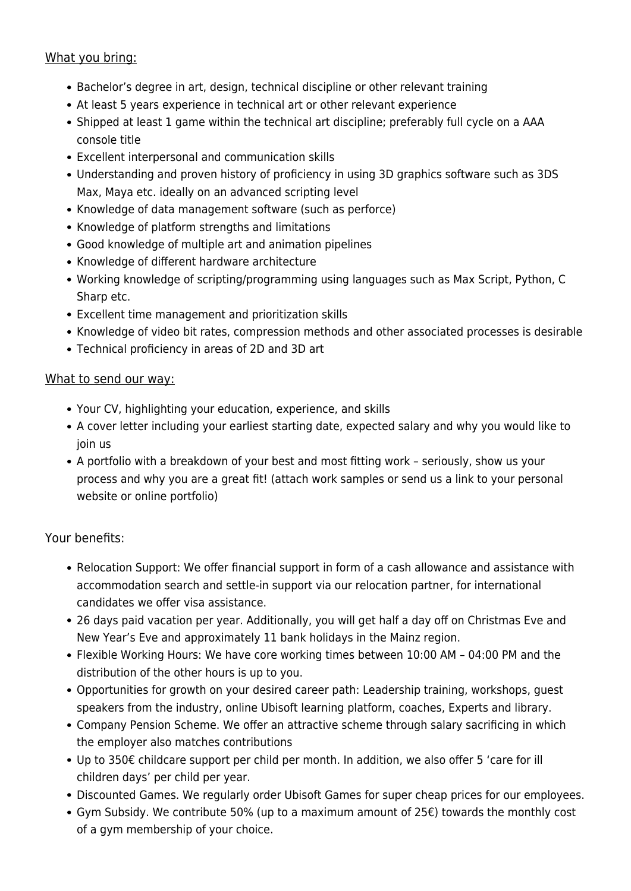#### What you bring:

- Bachelor's degree in art, design, technical discipline or other relevant training
- At least 5 years experience in technical art or other relevant experience
- Shipped at least 1 game within the technical art discipline; preferably full cycle on a AAA console title
- Excellent interpersonal and communication skills
- Understanding and proven history of proficiency in using 3D graphics software such as 3DS Max, Maya etc. ideally on an advanced scripting level
- Knowledge of data management software (such as perforce)
- Knowledge of platform strengths and limitations
- Good knowledge of multiple art and animation pipelines
- Knowledge of different hardware architecture
- Working knowledge of scripting/programming using languages such as Max Script, Python, C Sharp etc.
- Excellent time management and prioritization skills
- Knowledge of video bit rates, compression methods and other associated processes is desirable
- Technical proficiency in areas of 2D and 3D art

#### What to send our way:

- Your CV, highlighting your education, experience, and skills
- A cover letter including your earliest starting date, expected salary and why you would like to join us
- A portfolio with a breakdown of your best and most fitting work seriously, show us your process and why you are a great fit! (attach work samples or send us a link to your personal website or online portfolio)

#### Your benefits:

- Relocation Support: We offer financial support in form of a cash allowance and assistance with accommodation search and settle-in support via our relocation partner, for international candidates we offer visa assistance.
- 26 days paid vacation per year. Additionally, you will get half a day off on Christmas Eve and New Year's Eve and approximately 11 bank holidays in the Mainz region.
- Flexible Working Hours: We have core working times between 10:00 AM 04:00 PM and the distribution of the other hours is up to you.
- Opportunities for growth on your desired career path: Leadership training, workshops, guest speakers from the industry, online Ubisoft learning platform, coaches, Experts and library.
- Company Pension Scheme. We offer an attractive scheme through salary sacrificing in which the employer also matches contributions
- Up to 350€ childcare support per child per month. In addition, we also offer 5 'care for ill children days' per child per year.
- Discounted Games. We regularly order Ubisoft Games for super cheap prices for our employees.
- Gym Subsidy. We contribute 50% (up to a maximum amount of 25€) towards the monthly cost of a gym membership of your choice.